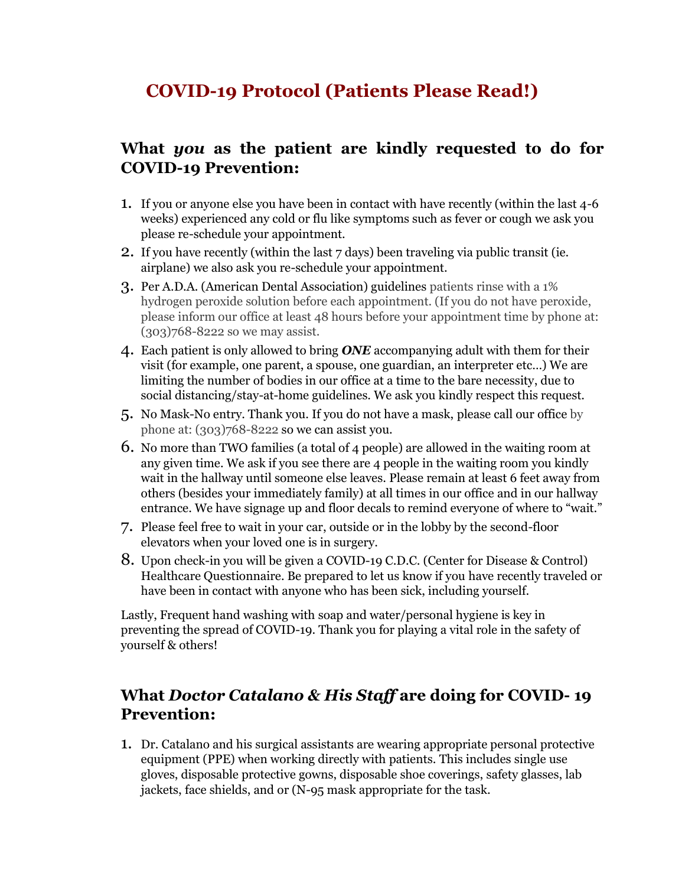## **COVID-19 Protocol (Patients Please Read!)**

## **What** *you* **as the patient are kindly requested to do for COVID-19 Prevention:**

- 1. If you or anyone else you have been in contact with have recently (within the last 4-6 weeks) experienced any cold or flu like symptoms such as fever or cough we ask you please re-schedule your appointment.
- 2. If you have recently (within the last 7 days) been traveling via public transit (ie. airplane) we also ask you re-schedule your appointment.
- 3. Per A.D.A. (American Dental Association) guidelines patients rinse with a 1% hydrogen peroxide solution before each appointment. (If you do not have peroxide, please inform our office at least 48 hours before your appointment time by phone at: (303)768-8222 so we may assist.
- 4. Each patient is only allowed to bring *ONE* accompanying adult with them for their visit (for example, one parent, a spouse, one guardian, an interpreter etc…) We are limiting the number of bodies in our office at a time to the bare necessity, due to social distancing/stay-at-home guidelines. We ask you kindly respect this request.
- 5. No Mask-No entry. Thank you. If you do not have a mask, please call our office by phone at: (303)768-8222 so we can assist you.
- 6. No more than TWO families (a total of 4 people) are allowed in the waiting room at any given time. We ask if you see there are 4 people in the waiting room you kindly wait in the hallway until someone else leaves. Please remain at least 6 feet away from others (besides your immediately family) at all times in our office and in our hallway entrance. We have signage up and floor decals to remind everyone of where to "wait."
- 7. Please feel free to wait in your car, outside or in the lobby by the second-floor elevators when your loved one is in surgery.
- 8. Upon check-in you will be given a COVID-19 C.D.C. (Center for Disease & Control) Healthcare Questionnaire. Be prepared to let us know if you have recently traveled or have been in contact with anyone who has been sick, including yourself.

Lastly, Frequent hand washing with soap and water/personal hygiene is key in preventing the spread of COVID-19. Thank you for playing a vital role in the safety of yourself & others!

## **What** *Doctor Catalano & His Staff* **are doing for COVID- 19 Prevention:**

1. Dr. Catalano and his surgical assistants are wearing appropriate personal protective equipment (PPE) when working directly with patients. This includes single use gloves, disposable protective gowns, disposable shoe coverings, safety glasses, lab jackets, face shields, and or (N-95 mask appropriate for the task.